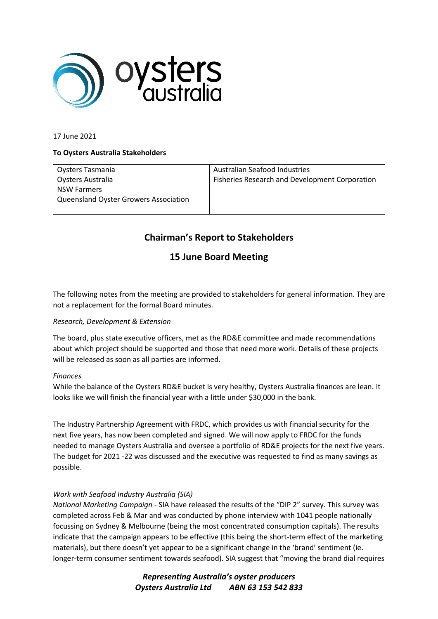

17 June 2021

### **To Oysters Australia Stakeholders**

| Oysters Tasmania                      | <b>Australian Seafood Industries</b>           |
|---------------------------------------|------------------------------------------------|
| Oysters Australia                     | Fisheries Research and Development Corporation |
| <b>NSW Farmers</b>                    |                                                |
| Queensland Oyster Growers Association |                                                |
|                                       |                                                |

# **Chairman's Report to Stakeholders**

## **15 June Board Meeting**

The following notes from the meeting are provided to stakeholders for general information. They are not a replacement for the formal Board minutes.

#### *Research, Development & Extension*

The board, plus state executive officers, met as the RD&E committee and made recommendations about which project should be supported and those that need more work. Details of these projects will be released as soon as all parties are informed.

#### *Finances*

While the balance of the Oysters RD&E bucket is very healthy, Oysters Australia finances are lean. It looks like we will finish the financial year with a little under \$30,000 in the bank.

The Industry Partnership Agreement with FRDC, which provides us with financial security for the next five years, has now been completed and signed. We will now apply to FRDC for the funds needed to manage Oysters Australia and oversee a portfolio of RD&E projects for the next five years. The budget for 2021 -22 was discussed and the executive was requested to find as many savings as possible.

#### *Work with Seafood Industry Australia (SIA)*

*National Marketing Campaign -* SIA have released the results of the "DIP 2" survey. This survey was completed across Feb & Mar and was conducted by phone interview with 1041 people nationally focussing on Sydney & Melbourne (being the most concentrated consumption capitals). The results indicate that the campaign appears to be effective (this being the short-term effect of the marketing materials), but there doesn't yet appear to be a significant change in the 'brand' sentiment (ie. longer-term consumer sentiment towards seafood). SIA suggest that "moving the brand dial requires

> *Representing Australia's oyster producers Oysters Australia Ltd ABN 63 153 542 833*